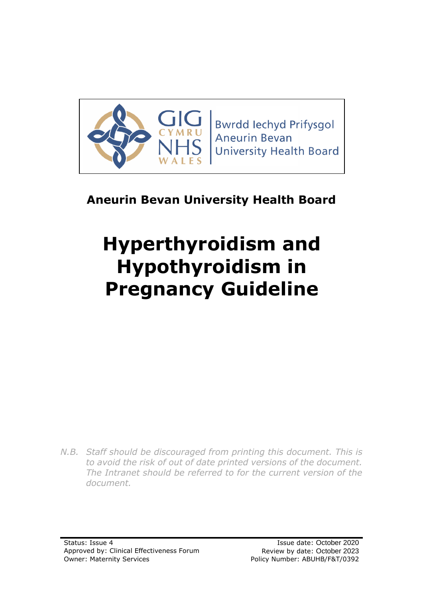

**Bwrdd lechyd Prifysgol Aneurin Bevan University Health Board** 

# **Aneurin Bevan University Health Board**

# **Hyperthyroidism and Hypothyroidism in Pregnancy Guideline**

*N.B. Staff should be discouraged from printing this document. This is to avoid the risk of out of date printed versions of the document. The Intranet should be referred to for the current version of the document.*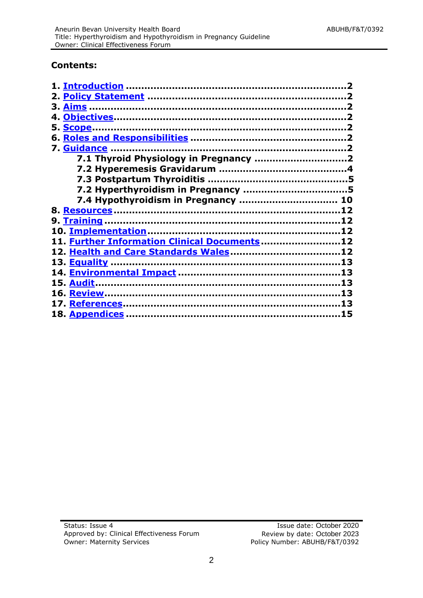#### **Contents:**

| 7.4 Hypothyroidism in Pregnancy  10          |    |
|----------------------------------------------|----|
|                                              |    |
|                                              | 12 |
|                                              |    |
| 11. Further Information Clinical Documents12 |    |
|                                              |    |
|                                              |    |
|                                              |    |
|                                              |    |
| <u> 16. Review …………………………………………………………………</u> | 13 |
|                                              | 13 |
|                                              |    |
|                                              |    |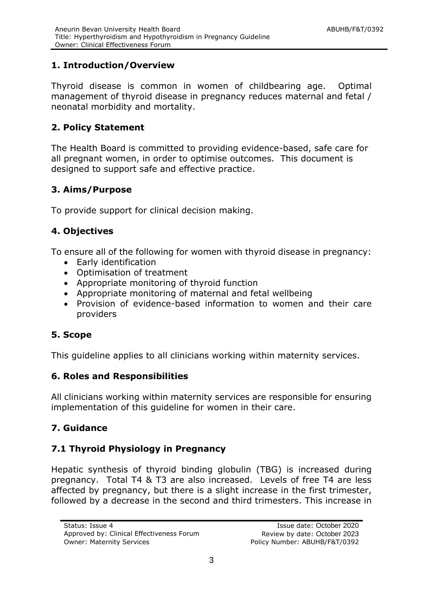# <span id="page-2-0"></span>**1. Introduction/Overview**

Thyroid disease is common in women of childbearing age. Optimal management of thyroid disease in pregnancy reduces maternal and fetal / neonatal morbidity and mortality.

# <span id="page-2-1"></span>**2. Policy Statement**

The Health Board is committed to providing evidence-based, safe care for all pregnant women, in order to optimise outcomes. This document is designed to support safe and effective practice.

# <span id="page-2-2"></span>**3. Aims/Purpose**

To provide support for clinical decision making.

# **4. Objectives**

To ensure all of the following for women with thyroid disease in pregnancy:

- <span id="page-2-3"></span>Early identification
- Optimisation of treatment
- Appropriate monitoring of thyroid function
- Appropriate monitoring of maternal and fetal wellbeing
- Provision of evidence-based information to women and their care providers

# <span id="page-2-4"></span>**5. Scope**

This guideline applies to all clinicians working within maternity services.

# <span id="page-2-5"></span>**6. Roles and Responsibilities**

All clinicians working within maternity services are responsible for ensuring implementation of this guideline for women in their care.

# <span id="page-2-6"></span>**7. Guidance**

# **7.1 Thyroid Physiology in Pregnancy**

Hepatic synthesis of thyroid binding globulin (TBG) is increased during pregnancy. Total T4 & T3 are also increased. Levels of free T4 are less affected by pregnancy, but there is a slight increase in the first trimester, followed by a decrease in the second and third trimesters. This increase in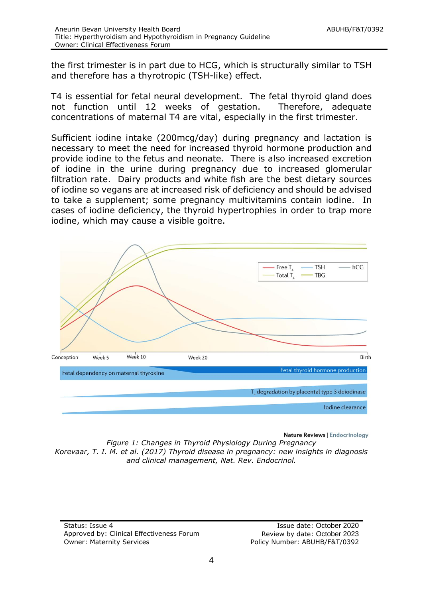the first trimester is in part due to HCG, which is structurally similar to TSH and therefore has a thyrotropic (TSH-like) effect.

T4 is essential for fetal neural development. The fetal thyroid gland does not function until 12 weeks of gestation. Therefore, adequate concentrations of maternal T4 are vital, especially in the first trimester.

Sufficient iodine intake (200mcg/day) during pregnancy and lactation is necessary to meet the need for increased thyroid hormone production and provide iodine to the fetus and neonate. There is also increased excretion of iodine in the urine during pregnancy due to increased glomerular filtration rate. Dairy products and white fish are the best dietary sources of iodine so vegans are at increased risk of deficiency and should be advised to take a supplement; some pregnancy multivitamins contain iodine. In cases of iodine deficiency, the thyroid hypertrophies in order to trap more iodine, which may cause a visible goitre.



Nature Reviews | Endocrinology

*Figure 1: Changes in Thyroid Physiology During Pregnancy Korevaar, T. I. M. et al. (2017) Thyroid disease in pregnancy: new insights in diagnosis and clinical management, Nat. Rev. Endocrinol.*

Status: Issue 4 Issue date: October 2020 Approved by: Clinical Effectiveness Forum Review by date: October 2023 Owner: Maternity Services extending the Policy Number: ABUHB/F&T/0392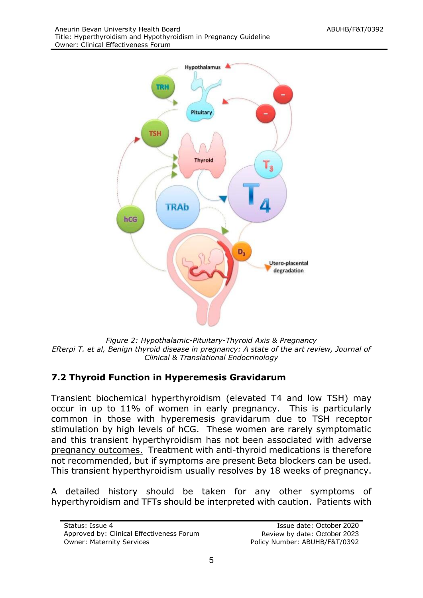

*Figure 2: Hypothalamic-Pituitary-Thyroid Axis & Pregnancy Efterpi T. et al, Benign thyroid disease in pregnancy: A state of the art review, Journal of Clinical & Translational Endocrinology*

# **7.2 Thyroid Function in Hyperemesis Gravidarum**

Transient biochemical hyperthyroidism (elevated T4 and low TSH) may occur in up to 11% of women in early pregnancy. This is particularly common in those with hyperemesis gravidarum due to TSH receptor stimulation by high levels of hCG. These women are rarely symptomatic and this transient hyperthyroidism has not been associated with adverse pregnancy outcomes. Treatment with anti-thyroid medications is therefore not recommended, but if symptoms are present Beta blockers can be used. This transient hyperthyroidism usually resolves by 18 weeks of pregnancy.

A detailed history should be taken for any other symptoms of hyperthyroidism and TFTs should be interpreted with caution. Patients with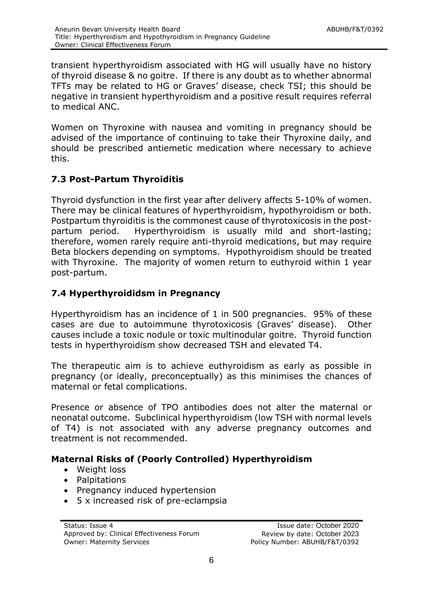transient hyperthyroidism associated with HG will usually have no history of thyroid disease & no goitre. If there is any doubt as to whether abnormal TFTs may be related to HG or Graves' disease, check TSI; this should be negative in transient hyperthyroidism and a positive result requires referral to medical ANC.

Women on Thyroxine with nausea and vomiting in pregnancy should be advised of the importance of continuing to take their Thyroxine daily, and should be prescribed antiemetic medication where necessary to achieve this.

# **7.3 Post-Partum Thyroiditis**

Thyroid dysfunction in the first year after delivery affects 5-10% of women. There may be clinical features of hyperthyroidism, hypothyroidism or both. Postpartum thyroiditis is the commonest cause of thyrotoxicosis in the postpartum period. Hyperthyroidism is usually mild and short-lasting; therefore, women rarely require anti-thyroid medications, but may require Beta blockers depending on symptoms. Hypothyroidism should be treated with Thyroxine. The majority of women return to euthyroid within 1 year post-partum.

# **7.4 Hyperthyroididsm in Pregnancy**

Hyperthyroidism has an incidence of 1 in 500 pregnancies. 95% of these cases are due to autoimmune thyrotoxicosis (Graves' disease). Other causes include a toxic nodule or toxic multinodular goitre. Thyroid function tests in hyperthyroidism show decreased TSH and elevated T4.

The therapeutic aim is to achieve euthyroidism as early as possible in pregnancy (or ideally, preconceptually) as this minimises the chances of maternal or fetal complications.

Presence or absence of TPO antibodies does not alter the maternal or neonatal outcome. Subclinical hyperthyroidism (low TSH with normal levels of T4) is not associated with any adverse pregnancy outcomes and treatment is not recommended.

# **Maternal Risks of (Poorly Controlled) Hyperthyroidism**

- Weight loss
- Palpitations
- Pregnancy induced hypertension
- 5 x increased risk of pre-eclampsia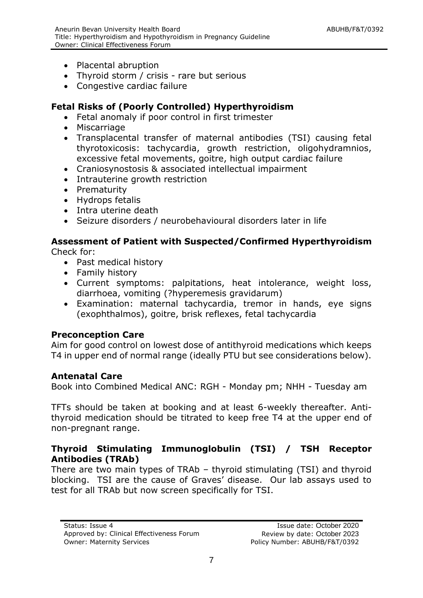- Placental abruption
- Thyroid storm / crisis rare but serious
- Congestive cardiac failure

# **Fetal Risks of (Poorly Controlled) Hyperthyroidism**

- Fetal anomaly if poor control in first trimester
- Miscarriage
- Transplacental transfer of maternal antibodies (TSI) causing fetal thyrotoxicosis: tachycardia, growth restriction, oligohydramnios, excessive fetal movements, goitre, high output cardiac failure
- Craniosynostosis & associated intellectual impairment
- Intrauterine growth restriction
- Prematurity
- Hydrops fetalis
- Intra uterine death
- Seizure disorders / neurobehavioural disorders later in life

# **Assessment of Patient with Suspected/Confirmed Hyperthyroidism**

Check for:

- Past medical history
- Family history
- Current symptoms: palpitations, heat intolerance, weight loss, diarrhoea, vomiting (?hyperemesis gravidarum)
- Examination: maternal tachycardia, tremor in hands, eye signs (exophthalmos), goitre, brisk reflexes, fetal tachycardia

#### **Preconception Care**

Aim for good control on lowest dose of antithyroid medications which keeps T4 in upper end of normal range (ideally PTU but see considerations below).

#### **Antenatal Care**

Book into Combined Medical ANC: RGH - Monday pm; NHH - Tuesday am

TFTs should be taken at booking and at least 6-weekly thereafter. Antithyroid medication should be titrated to keep free T4 at the upper end of non-pregnant range.

#### **Thyroid Stimulating Immunoglobulin (TSI) / TSH Receptor Antibodies (TRAb)**

There are two main types of TRAb – thyroid stimulating (TSI) and thyroid blocking. TSI are the cause of Graves' disease. Our lab assays used to test for all TRAb but now screen specifically for TSI.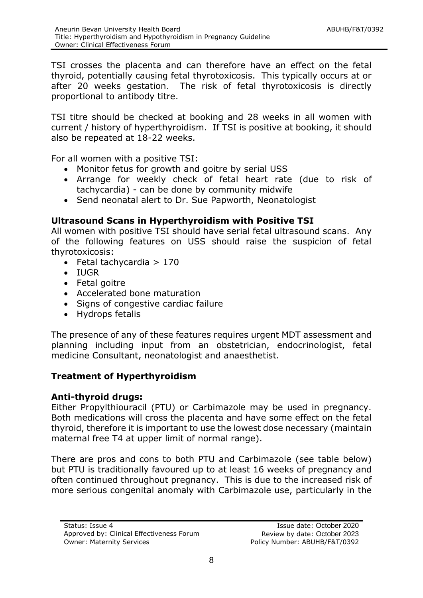TSI crosses the placenta and can therefore have an effect on the fetal thyroid, potentially causing fetal thyrotoxicosis. This typically occurs at or after 20 weeks gestation. The risk of fetal thyrotoxicosis is directly proportional to antibody titre.

TSI titre should be checked at booking and 28 weeks in all women with current / history of hyperthyroidism. If TSI is positive at booking, it should also be repeated at 18-22 weeks.

For all women with a positive TSI:

- Monitor fetus for growth and goitre by serial USS
- Arrange for weekly check of fetal heart rate (due to risk of tachycardia) - can be done by community midwife
- Send neonatal alert to Dr. Sue Papworth, Neonatologist

# **Ultrasound Scans in Hyperthyroidism with Positive TSI**

All women with positive TSI should have serial fetal ultrasound scans. Any of the following features on USS should raise the suspicion of fetal thyrotoxicosis:

- $\bullet$  Fetal tachycardia > 170
- IUGR
- Fetal goitre
- Accelerated bone maturation
- Signs of congestive cardiac failure
- Hydrops fetalis

The presence of any of these features requires urgent MDT assessment and planning including input from an obstetrician, endocrinologist, fetal medicine Consultant, neonatologist and anaesthetist.

# **Treatment of Hyperthyroidism**

#### **Anti-thyroid drugs:**

Either Propylthiouracil (PTU) or Carbimazole may be used in pregnancy. Both medications will cross the placenta and have some effect on the fetal thyroid, therefore it is important to use the lowest dose necessary (maintain maternal free T4 at upper limit of normal range).

There are pros and cons to both PTU and Carbimazole (see table below) but PTU is traditionally favoured up to at least 16 weeks of pregnancy and often continued throughout pregnancy. This is due to the increased risk of more serious congenital anomaly with Carbimazole use, particularly in the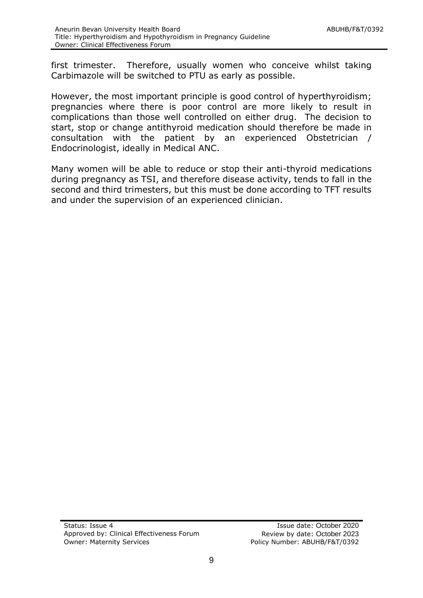first trimester. Therefore, usually women who conceive whilst taking Carbimazole will be switched to PTU as early as possible.

However, the most important principle is good control of hyperthyroidism; pregnancies where there is poor control are more likely to result in complications than those well controlled on either drug. The decision to start, stop or change antithyroid medication should therefore be made in consultation with the patient by an experienced Obstetrician / Endocrinologist, ideally in Medical ANC.

Many women will be able to reduce or stop their anti-thyroid medications during pregnancy as TSI, and therefore disease activity, tends to fall in the second and third trimesters, but this must be done according to TFT results and under the supervision of an experienced clinician.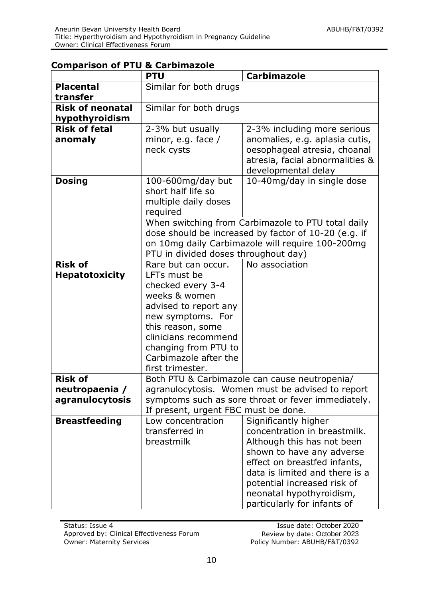|                         | <b>PTU</b>                           | <b>Carbimazole</b>                                                                                     |
|-------------------------|--------------------------------------|--------------------------------------------------------------------------------------------------------|
| <b>Placental</b>        | Similar for both drugs               |                                                                                                        |
| transfer                |                                      |                                                                                                        |
| <b>Risk of neonatal</b> | Similar for both drugs               |                                                                                                        |
| hypothyroidism          |                                      |                                                                                                        |
| <b>Risk of fetal</b>    | 2-3% but usually                     | 2-3% including more serious                                                                            |
| anomaly                 | minor, e.g. face $/$                 | anomalies, e.g. aplasia cutis,                                                                         |
|                         | neck cysts                           | oesophageal atresia, choanal                                                                           |
|                         |                                      | atresia, facial abnormalities &                                                                        |
|                         |                                      | developmental delay                                                                                    |
| <b>Dosing</b>           | 100-600mg/day but                    | 10-40mg/day in single dose                                                                             |
|                         | short half life so                   |                                                                                                        |
|                         | multiple daily doses                 |                                                                                                        |
|                         | required                             |                                                                                                        |
|                         |                                      | When switching from Carbimazole to PTU total daily                                                     |
|                         |                                      | dose should be increased by factor of 10-20 (e.g. if                                                   |
|                         |                                      | on 10mg daily Carbimazole will require 100-200mg                                                       |
|                         | PTU in divided doses throughout day) |                                                                                                        |
| <b>Risk of</b>          | Rare but can occur.                  | No association                                                                                         |
| <b>Hepatotoxicity</b>   | LFTs must be                         |                                                                                                        |
|                         | checked every 3-4                    |                                                                                                        |
|                         | weeks & women                        |                                                                                                        |
|                         | advised to report any                |                                                                                                        |
|                         | new symptoms. For                    |                                                                                                        |
|                         | this reason, some                    |                                                                                                        |
|                         | clinicians recommend                 |                                                                                                        |
|                         | changing from PTU to                 |                                                                                                        |
|                         | Carbimazole after the                |                                                                                                        |
| <b>Risk of</b>          | first trimester.                     |                                                                                                        |
|                         |                                      | Both PTU & Carbimazole can cause neutropenia/                                                          |
| neutropaenia /          |                                      | agranulocytosis. Women must be advised to report<br>symptoms such as sore throat or fever immediately. |
| agranulocytosis         | If present, urgent FBC must be done. |                                                                                                        |
| <b>Breastfeeding</b>    | Low concentration                    | Significantly higher                                                                                   |
|                         | transferred in                       | concentration in breastmilk.                                                                           |
|                         | breastmilk                           | Although this has not been                                                                             |
|                         |                                      | shown to have any adverse                                                                              |
|                         |                                      | effect on breastfed infants,                                                                           |
|                         |                                      | data is limited and there is a                                                                         |
|                         |                                      | potential increased risk of                                                                            |
|                         |                                      | neonatal hypothyroidism,                                                                               |
|                         |                                      | particularly for infants of                                                                            |

#### **Comparison of PTU & Carbimazole**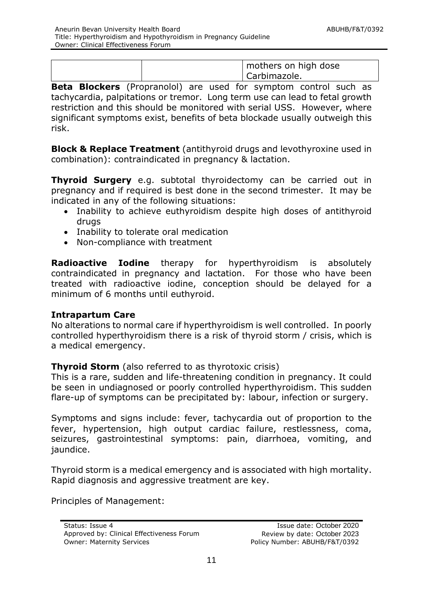| mothers on high dose<br>Carbimazole. |  |
|--------------------------------------|--|
|--------------------------------------|--|

**Beta Blockers** (Propranolol) are used for symptom control such as tachycardia, palpitations or tremor. Long term use can lead to fetal growth restriction and this should be monitored with serial USS. However, where significant symptoms exist, benefits of beta blockade usually outweigh this risk.

**Block & Replace Treatment** (antithyroid drugs and levothyroxine used in combination): contraindicated in pregnancy & lactation.

**Thyroid Surgery** e.g. subtotal thyroidectomy can be carried out in pregnancy and if required is best done in the second trimester. It may be indicated in any of the following situations:

- Inability to achieve euthyroidism despite high doses of antithyroid drugs
- Inability to tolerate oral medication
- Non-compliance with treatment

**Radioactive Iodine** therapy for hyperthyroidism is absolutely contraindicated in pregnancy and lactation. For those who have been treated with radioactive iodine, conception should be delayed for a minimum of 6 months until euthyroid.

#### **Intrapartum Care**

No alterations to normal care if hyperthyroidism is well controlled. In poorly controlled hyperthyroidism there is a risk of thyroid storm / crisis, which is a medical emergency.

#### **Thyroid Storm** (also referred to as thyrotoxic crisis)

This is a rare, sudden and life-threatening condition in pregnancy. It could be seen in undiagnosed or poorly controlled hyperthyroidism. This sudden flare-up of symptoms can be precipitated by: labour, infection or surgery.

Symptoms and signs include: fever, tachycardia out of proportion to the fever, hypertension, high output cardiac failure, restlessness, coma, seizures, gastrointestinal symptoms: pain, diarrhoea, vomiting, and jaundice.

Thyroid storm is a medical emergency and is associated with high mortality. Rapid diagnosis and aggressive treatment are key.

Principles of Management: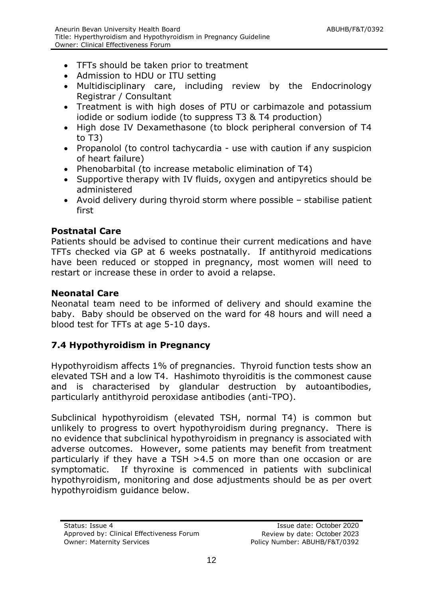- TFTs should be taken prior to treatment
- Admission to HDU or ITU setting
- Multidisciplinary care, including review by the Endocrinology Registrar / Consultant
- Treatment is with high doses of PTU or carbimazole and potassium iodide or sodium iodide (to suppress T3 & T4 production)
- High dose IV Dexamethasone (to block peripheral conversion of T4 to T3)
- Propanolol (to control tachycardia use with caution if any suspicion of heart failure)
- Phenobarbital (to increase metabolic elimination of T4)
- Supportive therapy with IV fluids, oxygen and antipyretics should be administered
- Avoid delivery during thyroid storm where possible stabilise patient first

# **Postnatal Care**

Patients should be advised to continue their current medications and have TFTs checked via GP at 6 weeks postnatally. If antithyroid medications have been reduced or stopped in pregnancy, most women will need to restart or increase these in order to avoid a relapse.

# **Neonatal Care**

Neonatal team need to be informed of delivery and should examine the baby. Baby should be observed on the ward for 48 hours and will need a blood test for TFTs at age 5-10 days.

# **7.4 Hypothyroidism in Pregnancy**

Hypothyroidism affects 1% of pregnancies. Thyroid function tests show an elevated TSH and a low T4. Hashimoto thyroiditis is the commonest cause and is characterised by glandular destruction by autoantibodies, particularly antithyroid peroxidase antibodies (anti-TPO).

Subclinical hypothyroidism (elevated TSH, normal T4) is common but unlikely to progress to overt hypothyroidism during pregnancy. There is no evidence that subclinical hypothyroidism in pregnancy is associated with adverse outcomes. However, some patients may benefit from treatment particularly if they have a TSH >4.5 on more than one occasion or are symptomatic. If thyroxine is commenced in patients with subclinical hypothyroidism, monitoring and dose adjustments should be as per overt hypothyroidism guidance below.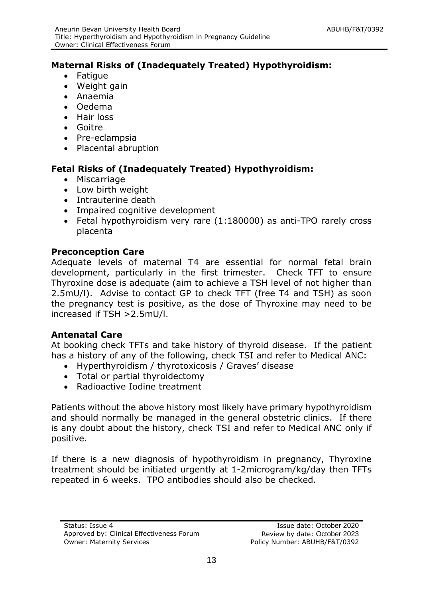# **Maternal Risks of (Inadequately Treated) Hypothyroidism:**

- Fatique
- Weight gain
- Anaemia
- Oedema
- Hair loss
- Goitre
- Pre-eclampsia
- Placental abruption

# **Fetal Risks of (Inadequately Treated) Hypothyroidism:**

- Miscarriage
- Low birth weight
- Intrauterine death
- Impaired cognitive development
- Fetal hypothyroidism very rare (1:180000) as anti-TPO rarely cross placenta

#### **Preconception Care**

Adequate levels of maternal T4 are essential for normal fetal brain development, particularly in the first trimester. Check TFT to ensure Thyroxine dose is adequate (aim to achieve a TSH level of not higher than 2.5mU/l). Advise to contact GP to check TFT (free T4 and TSH) as soon the pregnancy test is positive, as the dose of Thyroxine may need to be increased if TSH >2.5mU/l.

#### **Antenatal Care**

At booking check TFTs and take history of thyroid disease. If the patient has a history of any of the following, check TSI and refer to Medical ANC:

- Hyperthyroidism / thyrotoxicosis / Graves' disease
- Total or partial thyroidectomy
- Radioactive Iodine treatment

Patients without the above history most likely have primary hypothyroidism and should normally be managed in the general obstetric clinics. If there is any doubt about the history, check TSI and refer to Medical ANC only if positive.

If there is a new diagnosis of hypothyroidism in pregnancy, Thyroxine treatment should be initiated urgently at 1-2microgram/kg/day then TFTs repeated in 6 weeks. TPO antibodies should also be checked.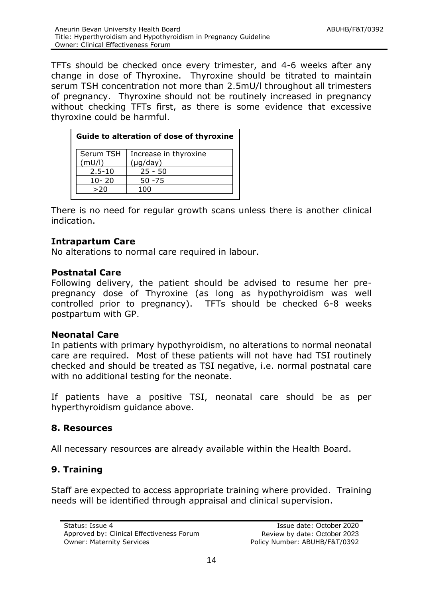TFTs should be checked once every trimester, and 4-6 weeks after any change in dose of Thyroxine. Thyroxine should be titrated to maintain serum TSH concentration not more than 2.5mU/l throughout all trimesters of pregnancy. Thyroxine should not be routinely increased in pregnancy without checking TFTs first, as there is some evidence that excessive thyroxine could be harmful.

| Guide to alteration of dose of thyroxine |                       |  |  |  |  |
|------------------------------------------|-----------------------|--|--|--|--|
| Serum TSH                                | Increase in thyroxine |  |  |  |  |
| (mU/l)                                   | $(\mu g / day)$       |  |  |  |  |
| $2.5 - 10$                               | $25 - 50$             |  |  |  |  |
| $10 - 20$                                | $50 - 75$             |  |  |  |  |
| >20                                      | 100                   |  |  |  |  |
|                                          |                       |  |  |  |  |

There is no need for regular growth scans unless there is another clinical indication.

#### **Intrapartum Care**

No alterations to normal care required in labour.

#### **Postnatal Care**

Following delivery, the patient should be advised to resume her prepregnancy dose of Thyroxine (as long as hypothyroidism was well controlled prior to pregnancy). TFTs should be checked 6-8 weeks postpartum with GP.

#### **Neonatal Care**

In patients with primary hypothyroidism, no alterations to normal neonatal care are required. Most of these patients will not have had TSI routinely checked and should be treated as TSI negative, i.e. normal postnatal care with no additional testing for the neonate.

If patients have a positive TSI, neonatal care should be as per hyperthyroidism guidance above.

# <span id="page-13-0"></span>**8. Resources**

All necessary resources are already available within the Health Board.

# <span id="page-13-1"></span>**9. Training**

Staff are expected to access appropriate training where provided. Training needs will be identified through appraisal and clinical supervision.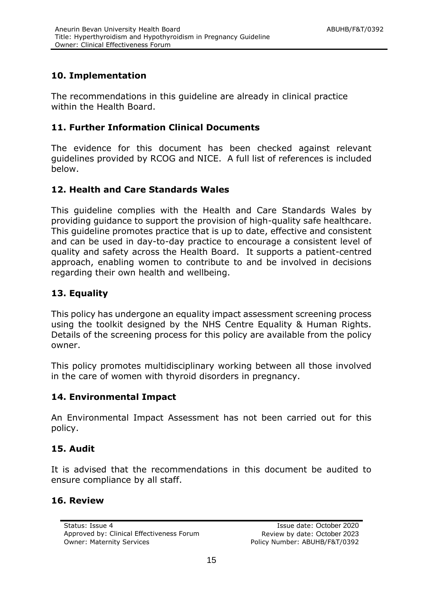# <span id="page-14-0"></span>**10. Implementation**

The recommendations in this guideline are already in clinical practice within the Health Board.

# **11. Further Information Clinical Documents**

The evidence for this document has been checked against relevant guidelines provided by RCOG and NICE. A full list of references is included below.

# <span id="page-14-2"></span><span id="page-14-1"></span>**12. Health and Care Standards Wales**

This guideline complies with the Health and Care Standards Wales by providing guidance to support the provision of high-quality safe healthcare. This guideline promotes practice that is up to date, effective and consistent and can be used in day-to-day practice to encourage a consistent level of quality and safety across the Health Board. It supports a patient-centred approach, enabling women to contribute to and be involved in decisions regarding their own health and wellbeing.

# <span id="page-14-3"></span>**13. Equality**

This policy has undergone an equality impact assessment screening process using the toolkit designed by the NHS Centre Equality & Human Rights. Details of the screening process for this policy are available from the policy owner.

This policy promotes multidisciplinary working between all those involved in the care of women with thyroid disorders in pregnancy.

# <span id="page-14-4"></span>**14. Environmental Impact**

An Environmental Impact Assessment has not been carried out for this policy.

#### <span id="page-14-5"></span>**15. Audit**

It is advised that the recommendations in this document be audited to ensure compliance by all staff.

#### **16. Review**

<span id="page-14-6"></span>Approved by: Clinical Effectiveness Forum Review by date: October 2023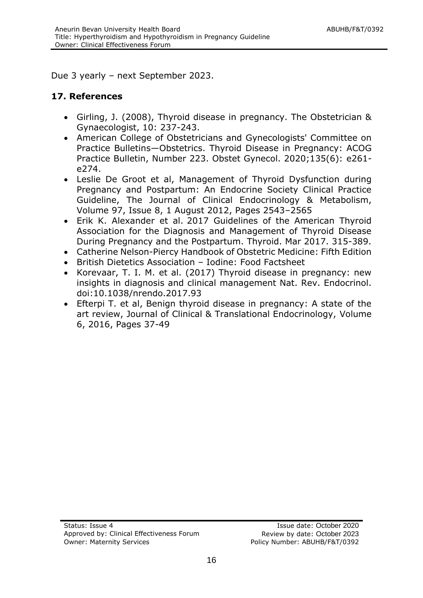Due 3 yearly – next September 2023.

#### **17. References**

- Girling, J. (2008), Thyroid disease in pregnancy. The Obstetrician & Gynaecologist, 10: 237-243.
- American College of Obstetricians and Gynecologists' Committee on Practice Bulletins—Obstetrics. Thyroid Disease in Pregnancy: ACOG Practice Bulletin, Number 223. Obstet Gynecol. 2020;135(6): e261 e274.
- Leslie De Groot et al, Management of Thyroid Dysfunction during Pregnancy and Postpartum: An Endocrine Society Clinical Practice Guideline, The Journal of Clinical Endocrinology & Metabolism, Volume 97, Issue 8, 1 August 2012, Pages 2543–2565
- Erik K. Alexander et al. 2017 Guidelines of the American Thyroid Association for the Diagnosis and Management of Thyroid Disease During Pregnancy and the Postpartum. Thyroid. Mar 2017. 315-389.
- Catherine Nelson-Piercy Handbook of Obstetric Medicine: Fifth Edition
- British Dietetics Association Iodine: Food Factsheet
- Korevaar, T. I. M. et al. (2017) Thyroid disease in pregnancy: new insights in diagnosis and clinical management Nat. Rev. Endocrinol. doi:10.1038/nrendo.2017.93
- Efterpi T. et al, Benign thyroid disease in pregnancy: A state of the art review, Journal of Clinical & Translational Endocrinology, Volume 6, 2016, Pages 37-49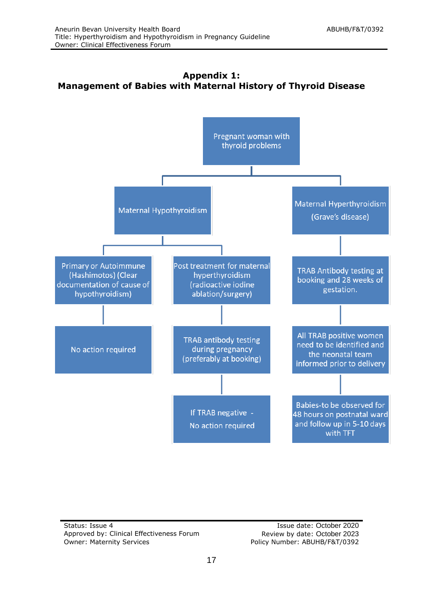<span id="page-16-0"></span>



Status: Issue 4 **Issue 4** Issue date: October 2020 Approved by: Clinical Effectiveness Forum Review by date: October 2023 Owner: Maternity Services **Policy Number: ABUHB/F&T/0392**